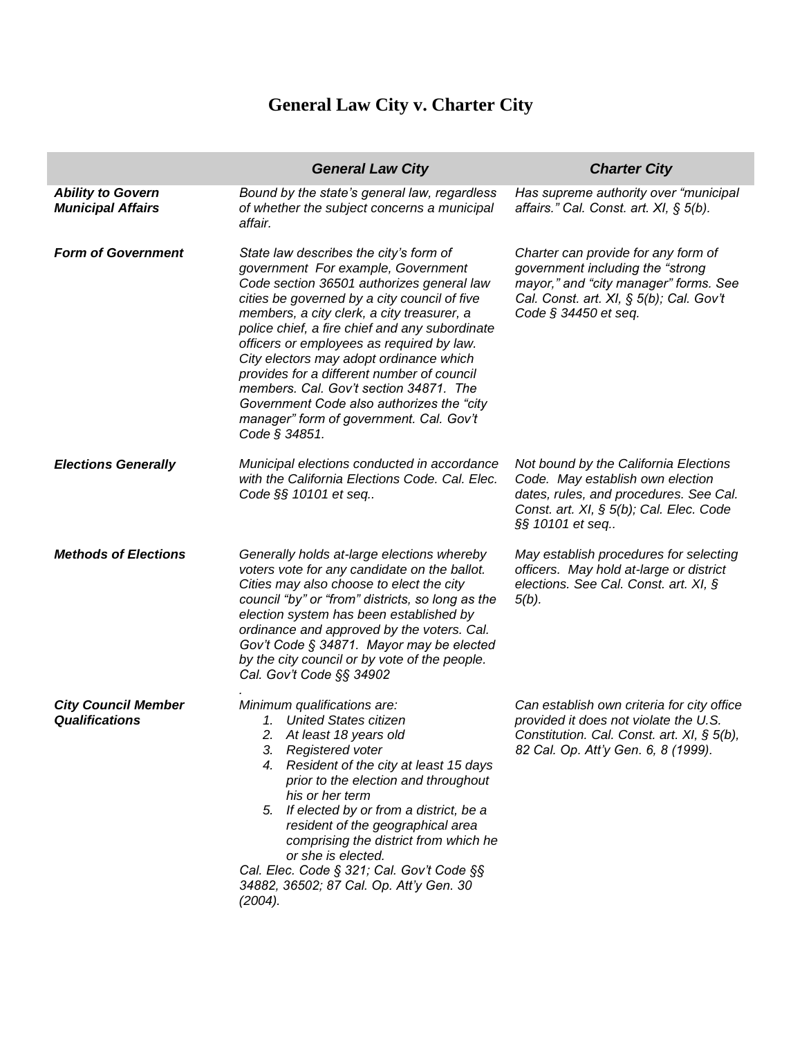## **General Law City v. Charter City**

|                                                      | <b>General Law City</b>                                                                                                                                                                                                                                                                                                                                                                                                                                                                                                                                             | <b>Charter City</b>                                                                                                                                                                     |
|------------------------------------------------------|---------------------------------------------------------------------------------------------------------------------------------------------------------------------------------------------------------------------------------------------------------------------------------------------------------------------------------------------------------------------------------------------------------------------------------------------------------------------------------------------------------------------------------------------------------------------|-----------------------------------------------------------------------------------------------------------------------------------------------------------------------------------------|
| <b>Ability to Govern</b><br><b>Municipal Affairs</b> | Bound by the state's general law, regardless<br>of whether the subject concerns a municipal<br>affair.                                                                                                                                                                                                                                                                                                                                                                                                                                                              | Has supreme authority over "municipal<br>affairs." Cal. Const. art. XI, § 5(b).                                                                                                         |
| <b>Form of Government</b>                            | State law describes the city's form of<br>government For example, Government<br>Code section 36501 authorizes general law<br>cities be governed by a city council of five<br>members, a city clerk, a city treasurer, a<br>police chief, a fire chief and any subordinate<br>officers or employees as required by law.<br>City electors may adopt ordinance which<br>provides for a different number of council<br>members. Cal. Gov't section 34871. The<br>Government Code also authorizes the "city"<br>manager" form of government. Cal. Gov't<br>Code § 34851. | Charter can provide for any form of<br>government including the "strong<br>mayor," and "city manager" forms. See<br>Cal. Const. art. XI, § 5(b); Cal. Gov't<br>Code $\S$ 34450 et seq.  |
| <b>Elections Generally</b>                           | Municipal elections conducted in accordance<br>with the California Elections Code. Cal. Elec.<br>Code §§ 10101 et seq                                                                                                                                                                                                                                                                                                                                                                                                                                               | Not bound by the California Elections<br>Code. May establish own election<br>dates, rules, and procedures. See Cal.<br>Const. art. $XI$ , $\S$ 5(b); Cal. Elec. Code<br>§§ 10101 et seq |
| <b>Methods of Elections</b>                          | Generally holds at-large elections whereby<br>voters vote for any candidate on the ballot.<br>Cities may also choose to elect the city<br>council "by" or "from" districts, so long as the<br>election system has been established by<br>ordinance and approved by the voters. Cal.<br>Gov't Code § 34871. Mayor may be elected<br>by the city council or by vote of the people.<br>Cal. Gov't Code §§ 34902                                                                                                                                                        | May establish procedures for selecting<br>officers. May hold at-large or district<br>elections. See Cal. Const. art. XI, §<br>$5(b)$ .                                                  |
| <b>City Council Member</b><br><b>Qualifications</b>  | Minimum qualifications are:<br>1. United States citizen<br>2. At least 18 years old<br>3. Registered voter<br>4. Resident of the city at least 15 days<br>prior to the election and throughout<br>his or her term<br>5. If elected by or from a district, be a<br>resident of the geographical area<br>comprising the district from which he<br>or she is elected.<br>Cal. Elec. Code § 321; Cal. Gov't Code §§<br>34882, 36502; 87 Cal. Op. Att'y Gen. 30<br>(2004).                                                                                               | Can establish own criteria for city office<br>provided it does not violate the U.S.<br>Constitution. Cal. Const. art. XI, § 5(b),<br>82 Cal. Op. Att'y Gen. 6, 8 (1999).                |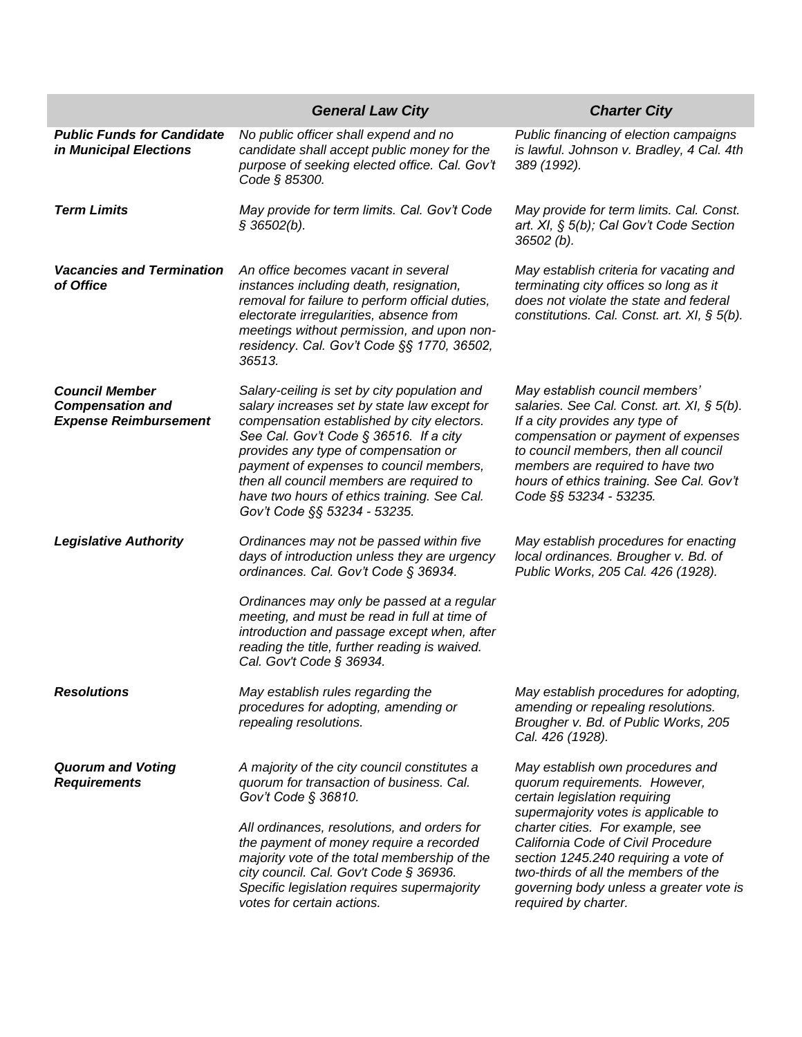|                                                                                  | <b>General Law City</b>                                                                                                                                                                                                                                                                                                                                                                            | <b>Charter City</b>                                                                                                                                                                                                                                                                                                                                                     |
|----------------------------------------------------------------------------------|----------------------------------------------------------------------------------------------------------------------------------------------------------------------------------------------------------------------------------------------------------------------------------------------------------------------------------------------------------------------------------------------------|-------------------------------------------------------------------------------------------------------------------------------------------------------------------------------------------------------------------------------------------------------------------------------------------------------------------------------------------------------------------------|
| <b>Public Funds for Candidate</b><br>in Municipal Elections                      | No public officer shall expend and no<br>candidate shall accept public money for the<br>purpose of seeking elected office. Cal. Gov't<br>Code § 85300.                                                                                                                                                                                                                                             | Public financing of election campaigns<br>is lawful. Johnson v. Bradley, 4 Cal. 4th<br>389 (1992).                                                                                                                                                                                                                                                                      |
| <b>Term Limits</b>                                                               | May provide for term limits. Cal. Gov't Code<br>\$36502(b).                                                                                                                                                                                                                                                                                                                                        | May provide for term limits. Cal. Const.<br>art. XI, § 5(b); Cal Gov't Code Section<br>$36502 (b)$ .                                                                                                                                                                                                                                                                    |
| <b>Vacancies and Termination</b><br>of Office                                    | An office becomes vacant in several<br>instances including death, resignation,<br>removal for failure to perform official duties,<br>electorate irregularities, absence from<br>meetings without permission, and upon non-<br>residency. Cal. Gov't Code §§ 1770, 36502,<br>36513.                                                                                                                 | May establish criteria for vacating and<br>terminating city offices so long as it<br>does not violate the state and federal<br>constitutions. Cal. Const. art. $XI$ , $\S$ 5(b).                                                                                                                                                                                        |
| <b>Council Member</b><br><b>Compensation and</b><br><b>Expense Reimbursement</b> | Salary-ceiling is set by city population and<br>salary increases set by state law except for<br>compensation established by city electors.<br>See Cal. Gov't Code § 36516. If a city<br>provides any type of compensation or<br>payment of expenses to council members,<br>then all council members are required to<br>have two hours of ethics training. See Cal.<br>Gov't Code §§ 53234 - 53235. | May establish council members'<br>salaries. See Cal. Const. art. XI, § 5(b).<br>If a city provides any type of<br>compensation or payment of expenses<br>to council members, then all council<br>members are required to have two<br>hours of ethics training. See Cal. Gov't<br>Code §§ 53234 - 53235.                                                                 |
| <b>Legislative Authority</b>                                                     | Ordinances may not be passed within five<br>days of introduction unless they are urgency<br>ordinances. Cal. Gov't Code § 36934.<br>Ordinances may only be passed at a regular<br>meeting, and must be read in full at time of<br>introduction and passage except when, after<br>reading the title, further reading is waived.<br>Cal. Gov't Code § 36934.                                         | May establish procedures for enacting<br>local ordinances. Brougher v. Bd. of<br>Public Works, 205 Cal. 426 (1928).                                                                                                                                                                                                                                                     |
| <b>Resolutions</b>                                                               | May establish rules regarding the<br>procedures for adopting, amending or<br>repealing resolutions.                                                                                                                                                                                                                                                                                                | May establish procedures for adopting,<br>amending or repealing resolutions.<br>Brougher v. Bd. of Public Works, 205<br>Cal. 426 (1928).                                                                                                                                                                                                                                |
| <b>Quorum and Voting</b><br><b>Requirements</b>                                  | A majority of the city council constitutes a<br>quorum for transaction of business. Cal.<br>Gov't Code § 36810.<br>All ordinances, resolutions, and orders for<br>the payment of money require a recorded<br>majority vote of the total membership of the<br>city council. Cal. Gov't Code § 36936.<br>Specific legislation requires supermajority<br>votes for certain actions.                   | May establish own procedures and<br>quorum requirements. However,<br>certain legislation requiring<br>supermajority votes is applicable to<br>charter cities. For example, see<br>California Code of Civil Procedure<br>section 1245.240 requiring a vote of<br>two-thirds of all the members of the<br>governing body unless a greater vote is<br>required by charter. |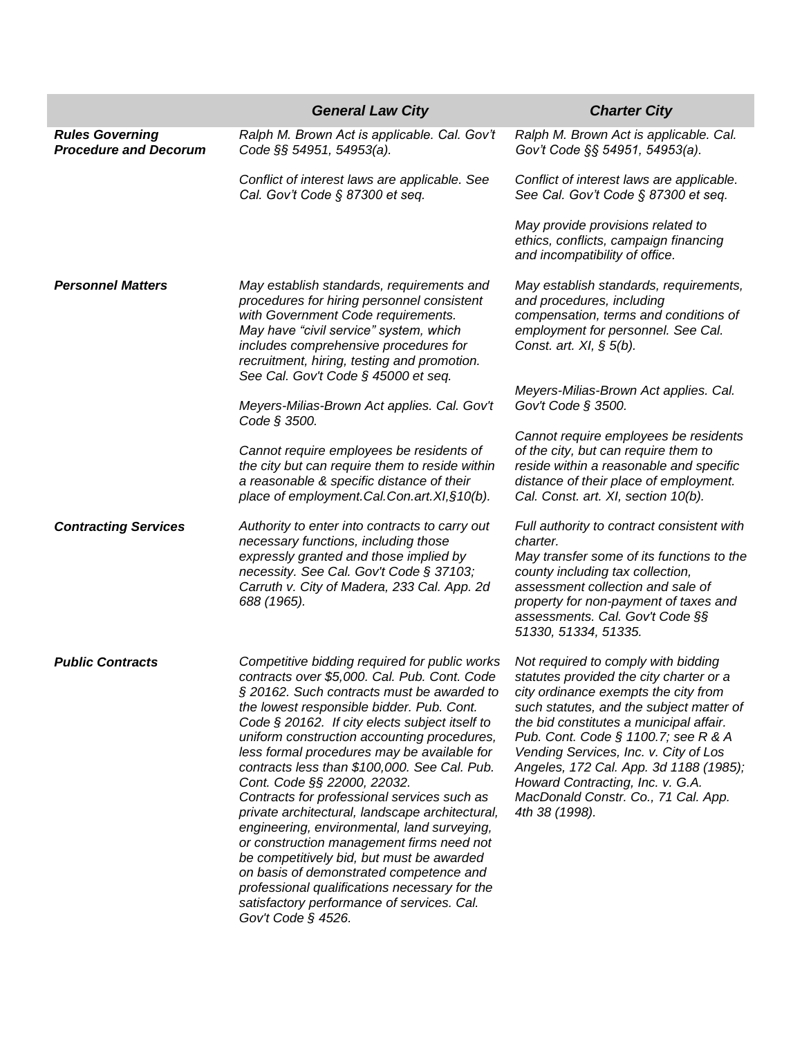|                                                        | <b>General Law City</b>                                                                                                                                                                                                                                                                                                                                                                                                                                                                                                                                                                                                                                                                                                                                                                                                              | <b>Charter City</b>                                                                                                                                                                                                                                                                                                                                                                                                                  |
|--------------------------------------------------------|--------------------------------------------------------------------------------------------------------------------------------------------------------------------------------------------------------------------------------------------------------------------------------------------------------------------------------------------------------------------------------------------------------------------------------------------------------------------------------------------------------------------------------------------------------------------------------------------------------------------------------------------------------------------------------------------------------------------------------------------------------------------------------------------------------------------------------------|--------------------------------------------------------------------------------------------------------------------------------------------------------------------------------------------------------------------------------------------------------------------------------------------------------------------------------------------------------------------------------------------------------------------------------------|
| <b>Rules Governing</b><br><b>Procedure and Decorum</b> | Ralph M. Brown Act is applicable. Cal. Gov't<br>Code §§ 54951, 54953(a).                                                                                                                                                                                                                                                                                                                                                                                                                                                                                                                                                                                                                                                                                                                                                             | Ralph M. Brown Act is applicable. Cal.<br>Gov't Code §§ 54951, 54953(a).                                                                                                                                                                                                                                                                                                                                                             |
|                                                        | Conflict of interest laws are applicable. See<br>Cal. Gov't Code § 87300 et seq.                                                                                                                                                                                                                                                                                                                                                                                                                                                                                                                                                                                                                                                                                                                                                     | Conflict of interest laws are applicable.<br>See Cal. Gov't Code § 87300 et seq.                                                                                                                                                                                                                                                                                                                                                     |
|                                                        |                                                                                                                                                                                                                                                                                                                                                                                                                                                                                                                                                                                                                                                                                                                                                                                                                                      | May provide provisions related to<br>ethics, conflicts, campaign financing<br>and incompatibility of office.                                                                                                                                                                                                                                                                                                                         |
| <b>Personnel Matters</b>                               | May establish standards, requirements and<br>procedures for hiring personnel consistent<br>with Government Code requirements.<br>May have "civil service" system, which<br>includes comprehensive procedures for<br>recruitment, hiring, testing and promotion.<br>See Cal. Gov't Code § 45000 et seq.                                                                                                                                                                                                                                                                                                                                                                                                                                                                                                                               | May establish standards, requirements,<br>and procedures, including<br>compensation, terms and conditions of<br>employment for personnel. See Cal.<br>Const. art. $XI, \S$ 5(b).                                                                                                                                                                                                                                                     |
|                                                        | Meyers-Milias-Brown Act applies. Cal. Gov't<br>Code § 3500.                                                                                                                                                                                                                                                                                                                                                                                                                                                                                                                                                                                                                                                                                                                                                                          | Meyers-Milias-Brown Act applies. Cal.<br>Gov't Code § 3500.                                                                                                                                                                                                                                                                                                                                                                          |
|                                                        | Cannot require employees be residents of<br>the city but can require them to reside within<br>a reasonable & specific distance of their<br>place of employment.Cal.Con.art.XI, §10(b).                                                                                                                                                                                                                                                                                                                                                                                                                                                                                                                                                                                                                                               | Cannot require employees be residents<br>of the city, but can require them to<br>reside within a reasonable and specific<br>distance of their place of employment.<br>Cal. Const. art. XI, section 10(b).                                                                                                                                                                                                                            |
| <b>Contracting Services</b>                            | Authority to enter into contracts to carry out<br>necessary functions, including those<br>expressly granted and those implied by<br>necessity. See Cal. Gov't Code § 37103;<br>Carruth v. City of Madera, 233 Cal. App. 2d<br>688 (1965).                                                                                                                                                                                                                                                                                                                                                                                                                                                                                                                                                                                            | Full authority to contract consistent with<br>charter.<br>May transfer some of its functions to the<br>county including tax collection,<br>assessment collection and sale of<br>property for non-payment of taxes and<br>assessments. Cal. Gov't Code §§<br>51330, 51334, 51335.                                                                                                                                                     |
| <b>Public Contracts</b>                                | Competitive bidding required for public works<br>contracts over \$5,000. Cal. Pub. Cont. Code<br>§ 20162. Such contracts must be awarded to<br>the lowest responsible bidder. Pub. Cont.<br>Code § 20162. If city elects subject itself to<br>uniform construction accounting procedures,<br>less formal procedures may be available for<br>contracts less than \$100,000. See Cal. Pub.<br>Cont. Code §§ 22000, 22032.<br>Contracts for professional services such as<br>private architectural, landscape architectural,<br>engineering, environmental, land surveying,<br>or construction management firms need not<br>be competitively bid, but must be awarded<br>on basis of demonstrated competence and<br>professional qualifications necessary for the<br>satisfactory performance of services. Cal.<br>Gov't Code $§$ 4526. | Not required to comply with bidding<br>statutes provided the city charter or a<br>city ordinance exempts the city from<br>such statutes, and the subject matter of<br>the bid constitutes a municipal affair.<br>Pub. Cont. Code § 1100.7; see R & A<br>Vending Services, Inc. v. City of Los<br>Angeles, 172 Cal. App. 3d 1188 (1985);<br>Howard Contracting, Inc. v. G.A.<br>MacDonald Constr. Co., 71 Cal. App.<br>4th 38 (1998). |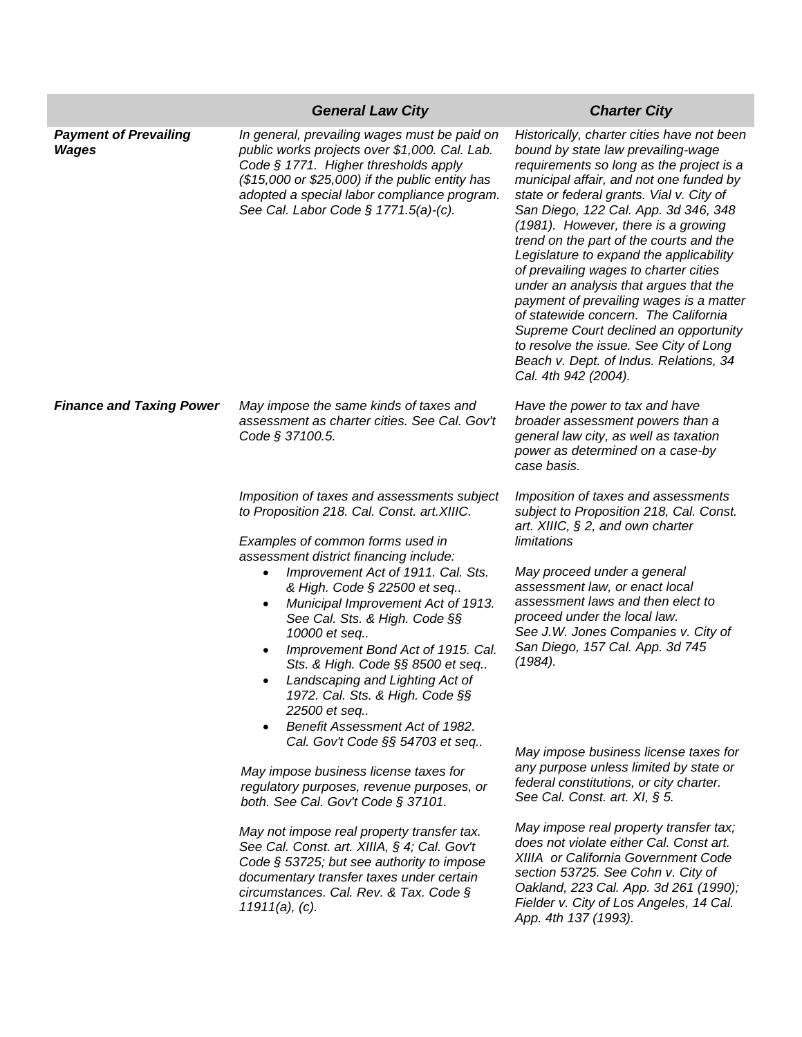|                                       | <b>General Law City</b>                                                                                                                                                                                                                                                                                                                                                                                                                                                                                                                                                                 | <b>Charter City</b>                                                                                                                                                                                                                                                                                                                                                                                                                                                                                                                                                                                                                                                                                                 |
|---------------------------------------|-----------------------------------------------------------------------------------------------------------------------------------------------------------------------------------------------------------------------------------------------------------------------------------------------------------------------------------------------------------------------------------------------------------------------------------------------------------------------------------------------------------------------------------------------------------------------------------------|---------------------------------------------------------------------------------------------------------------------------------------------------------------------------------------------------------------------------------------------------------------------------------------------------------------------------------------------------------------------------------------------------------------------------------------------------------------------------------------------------------------------------------------------------------------------------------------------------------------------------------------------------------------------------------------------------------------------|
| <b>Payment of Prevailing</b><br>Wages | In general, prevailing wages must be paid on<br>public works projects over \$1,000. Cal. Lab.<br>Code § 1771. Higher thresholds apply<br>(\$15,000 or \$25,000) if the public entity has<br>adopted a special labor compliance program.<br>See Cal. Labor Code $\S$ 1771.5(a)-(c).                                                                                                                                                                                                                                                                                                      | Historically, charter cities have not been<br>bound by state law prevailing-wage<br>requirements so long as the project is a<br>municipal affair, and not one funded by<br>state or federal grants. Vial v. City of<br>San Diego, 122 Cal. App. 3d 346, 348<br>(1981). However, there is a growing<br>trend on the part of the courts and the<br>Legislature to expand the applicability<br>of prevailing wages to charter cities<br>under an analysis that argues that the<br>payment of prevailing wages is a matter<br>of statewide concern. The California<br>Supreme Court declined an opportunity<br>to resolve the issue. See City of Long<br>Beach v. Dept. of Indus. Relations, 34<br>Cal. 4th 942 (2004). |
| <b>Finance and Taxing Power</b>       | May impose the same kinds of taxes and<br>assessment as charter cities. See Cal. Gov't<br>Code § 37100.5.                                                                                                                                                                                                                                                                                                                                                                                                                                                                               | Have the power to tax and have<br>broader assessment powers than a<br>general law city, as well as taxation<br>power as determined on a case-by<br>case basis.                                                                                                                                                                                                                                                                                                                                                                                                                                                                                                                                                      |
|                                       | Imposition of taxes and assessments subject<br>to Proposition 218. Cal. Const. art. XIIIC.<br>Examples of common forms used in<br>assessment district financing include:<br>Improvement Act of 1911. Cal. Sts.<br>& High. Code § 22500 et seq<br>Municipal Improvement Act of 1913.<br>See Cal. Sts. & High. Code §§<br>10000 et seq<br>Improvement Bond Act of 1915. Cal.<br>Sts. & High. Code §§ 8500 et seq<br>Landscaping and Lighting Act of<br>1972. Cal. Sts. & High. Code §§<br>22500 et seq<br>Benefit Assessment Act of 1982.<br>$\bullet$<br>Cal. Gov't Code §§ 54703 et seq | Imposition of taxes and assessments<br>subject to Proposition 218, Cal. Const.<br>art. XIIIC, $\S 2$ , and own charter<br>limitations<br>May proceed under a general<br>assessment law, or enact local<br>assessment laws and then elect to<br>proceed under the local law.<br>See J.W. Jones Companies v. City of<br>San Diego, 157 Cal. App. 3d 745<br>$(1984)$ .                                                                                                                                                                                                                                                                                                                                                 |
|                                       | May impose business license taxes for<br>regulatory purposes, revenue purposes, or<br>both. See Cal. Gov't Code § 37101.                                                                                                                                                                                                                                                                                                                                                                                                                                                                | May impose business license taxes for<br>any purpose unless limited by state or<br>federal constitutions, or city charter.<br>See Cal. Const. art. $XI$ , $§$ 5.                                                                                                                                                                                                                                                                                                                                                                                                                                                                                                                                                    |
|                                       | May not impose real property transfer tax.<br>See Cal. Const. art. XIIIA, § 4; Cal. Gov't<br>Code § 53725; but see authority to impose<br>documentary transfer taxes under certain<br>circumstances. Cal. Rev. & Tax. Code §<br>11911(a), (c).                                                                                                                                                                                                                                                                                                                                          | May impose real property transfer tax;<br>does not violate either Cal. Const art.<br>XIIIA or California Government Code<br>section 53725. See Cohn v. City of<br>Oakland, 223 Cal. App. 3d 261 (1990);<br>Fielder v. City of Los Angeles, 14 Cal.<br>App. 4th 137 (1993).                                                                                                                                                                                                                                                                                                                                                                                                                                          |